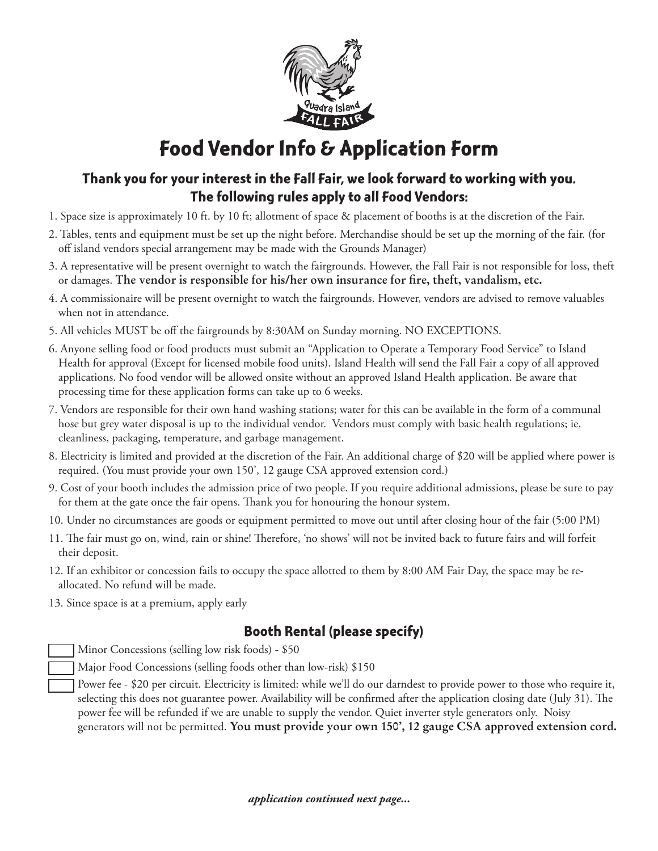

## **Food Vendor Info & Application Form**

## **Thank you for your interest in the Fall Fair, we look forward to working with you. The following rules apply to all Food Vendors:**

- 1. Space size is approximately 10 ft. by 10 ft; allotment of space & placement of booths is at the discretion of the Fair.
- 2. Tables, tents and equipment must be set up the night before. Merchandise should be set up the morning of the fair. (for off island vendors special arrangement may be made with the Grounds Manager)
- 3. A representative will be present overnight to watch the fairgrounds. However, the Fall Fair is not responsible for loss, theft or damages. **The vendor is responsible for his/her own insurance for fire, theft, vandalism, etc.**
- 4. A commissionaire will be present overnight to watch the fairgrounds. However, vendors are advised to remove valuables when not in attendance.
- 5. All vehicles MUST be off the fairgrounds by 8:30AM on Sunday morning. NO EXCEPTIONS.
- 6. Anyone selling food or food products must submit an "Application to Operate a Temporary Food Service" to Island Health for approval (Except for licensed mobile food units). Island Health will send the Fall Fair a copy of all approved applications. No food vendor will be allowed onsite without an approved Island Health application. Be aware that processing time for these application forms can take up to 6 weeks.
- 7. Vendors are responsible for their own hand washing stations; water for this can be available in the form of a communal hose but grey water disposal is up to the individual vendor. Vendors must comply with basic health regulations; ie, cleanliness, packaging, temperature, and garbage management.
- 8. Electricity is limited and provided at the discretion of the Fair. An additional charge of \$20 will be applied where power is required. (You must provide your own 150', 12 gauge CSA approved extension cord.)
- 9. Cost of your booth includes the admission price of two people. If you require additional admissions, please be sure to pay for them at the gate once the fair opens. Thank you for honouring the honour system.
- 10. Under no circumstances are goods or equipment permitted to move out until after closing hour of the fair (5:00 PM)
- 11. The fair must go on, wind, rain or shine! Therefore, 'no shows' will not be invited back to future fairs and will forfeit their deposit.
- 12. If an exhibitor or concession fails to occupy the space allotted to them by 8:00 AM Fair Day, the space may be reallocated. No refund will be made.
- 13. Since space is at a premium, apply early

## **Booth Rental (please specify)**

Minor Concessions (selling low risk foods) - \$50

- Major Food Concessions (selling foods other than low-risk) \$150
	- Power fee \$20 per circuit. Electricity is limited: while we'll do our darndest to provide power to those who require it, selecting this does not guarantee power. Availability will be confirmed after the application closing date (July 31). The power fee will be refunded if we are unable to supply the vendor. Quiet inverter style generators only. Noisy generators will not be permitted. **You must provide your own 150', 12 gauge CSA approved extension cord.**

*application continued next page...*